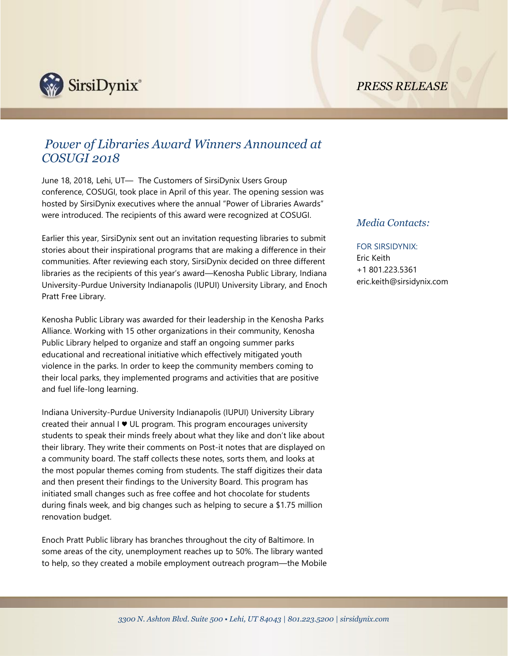*PRESS RELEASE*



## *Power of Libraries Award Winners Announced at COSUGI 2018*

June 18, 2018, Lehi, UT— The Customers of SirsiDynix Users Group conference, COSUGI, took place in April of this year. The opening session was hosted by SirsiDynix executives where the annual "Power of Libraries Awards" were introduced. The recipients of this award were recognized at COSUGI.

Earlier this year, SirsiDynix sent out an invitation requesting libraries to submit stories about their inspirational programs that are making a difference in their communities. After reviewing each story, SirsiDynix decided on three different libraries as the recipients of this year's award—Kenosha Public Library, Indiana University-Purdue University Indianapolis (IUPUI) University Library, and Enoch Pratt Free Library.

Kenosha Public Library was awarded for their leadership in the Kenosha Parks Alliance. Working with 15 other organizations in their community, Kenosha Public Library helped to organize and staff an ongoing summer parks educational and recreational initiative which effectively mitigated youth violence in the parks. In order to keep the community members coming to their local parks, they implemented programs and activities that are positive and fuel life-long learning.

Indiana University-Purdue University Indianapolis (IUPUI) University Library created their annual I ♥ UL program. This program encourages university students to speak their minds freely about what they like and don't like about their library. They write their comments on Post-it notes that are displayed on a community board. The staff collects these notes, sorts them, and looks at the most popular themes coming from students. The staff digitizes their data and then present their findings to the University Board. This program has initiated small changes such as free coffee and hot chocolate for students during finals week, and big changes such as helping to secure a \$1.75 million renovation budget.

Enoch Pratt Public library has branches throughout the city of Baltimore. In some areas of the city, unemployment reaches up to 50%. The library wanted to help, so they created a mobile employment outreach program—the Mobile

## *Media Contacts:*

## FOR SIRSIDYNIX:

Eric Keith +1 801.223.5361 eric.keith@sirsidynix.com